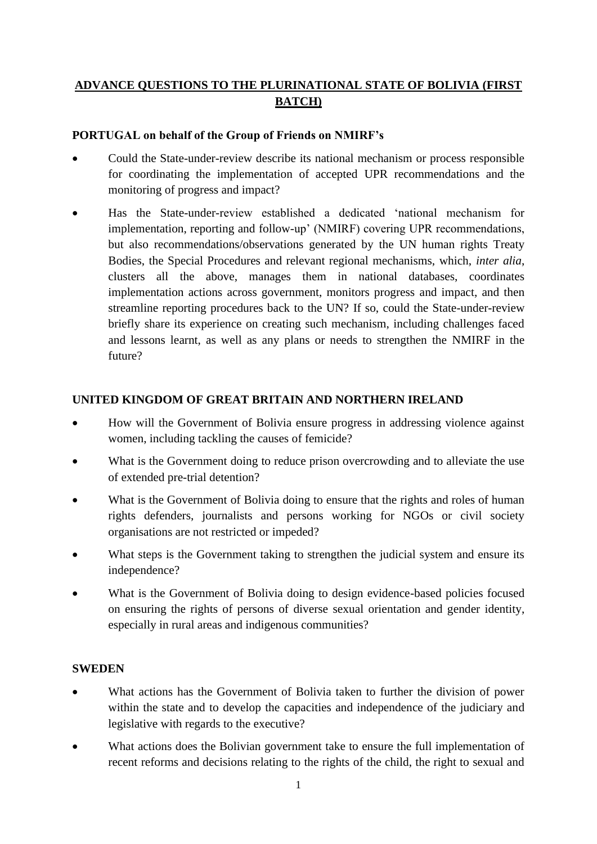# **ADVANCE QUESTIONS TO THE PLURINATIONAL STATE OF BOLIVIA (FIRST BATCH)**

### **PORTUGAL on behalf of the Group of Friends on NMIRF's**

- Could the State-under-review describe its national mechanism or process responsible for coordinating the implementation of accepted UPR recommendations and the monitoring of progress and impact?
- Has the State-under-review established a dedicated 'national mechanism for implementation, reporting and follow-up' (NMIRF) covering UPR recommendations, but also recommendations/observations generated by the UN human rights Treaty Bodies, the Special Procedures and relevant regional mechanisms, which, *inter alia*, clusters all the above, manages them in national databases, coordinates implementation actions across government, monitors progress and impact, and then streamline reporting procedures back to the UN? If so, could the State-under-review briefly share its experience on creating such mechanism, including challenges faced and lessons learnt, as well as any plans or needs to strengthen the NMIRF in the future?

#### **UNITED KINGDOM OF GREAT BRITAIN AND NORTHERN IRELAND**

- How will the Government of Bolivia ensure progress in addressing violence against women, including tackling the causes of femicide?
- What is the Government doing to reduce prison overcrowding and to alleviate the use of extended pre-trial detention?
- What is the Government of Bolivia doing to ensure that the rights and roles of human rights defenders, journalists and persons working for NGOs or civil society organisations are not restricted or impeded?
- What steps is the Government taking to strengthen the judicial system and ensure its independence?
- What is the Government of Bolivia doing to design evidence-based policies focused on ensuring the rights of persons of diverse sexual orientation and gender identity, especially in rural areas and indigenous communities?

#### **SWEDEN**

- What actions has the Government of Bolivia taken to further the division of power within the state and to develop the capacities and independence of the judiciary and legislative with regards to the executive?
- What actions does the Bolivian government take to ensure the full implementation of recent reforms and decisions relating to the rights of the child, the right to sexual and